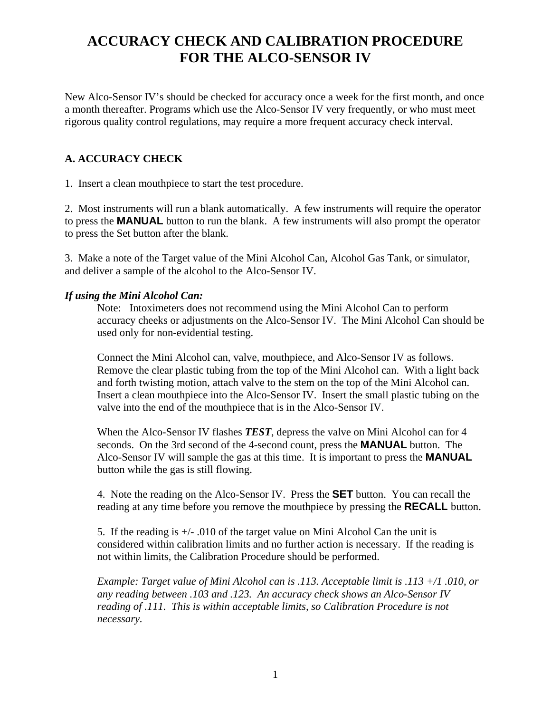# **ACCURACY CHECK AND CALIBRATION PROCEDURE FOR THE ALCO-SENSOR IV**

New Alco-Sensor IV's should be checked for accuracy once a week for the first month, and once a month thereafter. Programs which use the Alco-Sensor IV very frequently, or who must meet rigorous quality control regulations, may require a more frequent accuracy check interval.

# **A. ACCURACY CHECK**

1. Insert a clean mouthpiece to start the test procedure.

2. Most instruments will run a blank automatically. A few instruments will require the operator to press the **MANUAL** button to run the blank. A few instruments will also prompt the operator to press the Set button after the blank.

3. Make a note of the Target value of the Mini Alcohol Can, Alcohol Gas Tank, or simulator, and deliver a sample of the alcohol to the Alco-Sensor IV.

### *If using the Mini Alcohol Can:*

Note: Intoximeters does not recommend using the Mini Alcohol Can to perform accuracy cheeks or adjustments on the Alco-Sensor IV. The Mini Alcohol Can should be used only for non-evidential testing.

Connect the Mini Alcohol can, valve, mouthpiece, and Alco-Sensor IV as follows. Remove the clear plastic tubing from the top of the Mini Alcohol can. With a light back and forth twisting motion, attach valve to the stem on the top of the Mini Alcohol can. Insert a clean mouthpiece into the Alco-Sensor IV. Insert the small plastic tubing on the valve into the end of the mouthpiece that is in the Alco-Sensor IV.

When the Alco-Sensor IV flashes *TEST*, depress the valve on Mini Alcohol can for 4 seconds. On the 3rd second of the 4-second count, press the **MANUAL** button. The Alco-Sensor IV will sample the gas at this time. It is important to press the **MANUAL** button while the gas is still flowing.

4. Note the reading on the Alco-Sensor IV. Press the **SET** button. You can recall the reading at any time before you remove the mouthpiece by pressing the **RECALL** button.

5. If the reading is  $+/-$ .010 of the target value on Mini Alcohol Can the unit is considered within calibration limits and no further action is necessary. If the reading is not within limits, the Calibration Procedure should be performed.

*Example: Target value of Mini Alcohol can is .113. Acceptable limit is .113 +/1 .010, or any reading between .103 and .123. An accuracy check shows an Alco-Sensor IV reading of .111. This is within acceptable limits, so Calibration Procedure is not necessary.*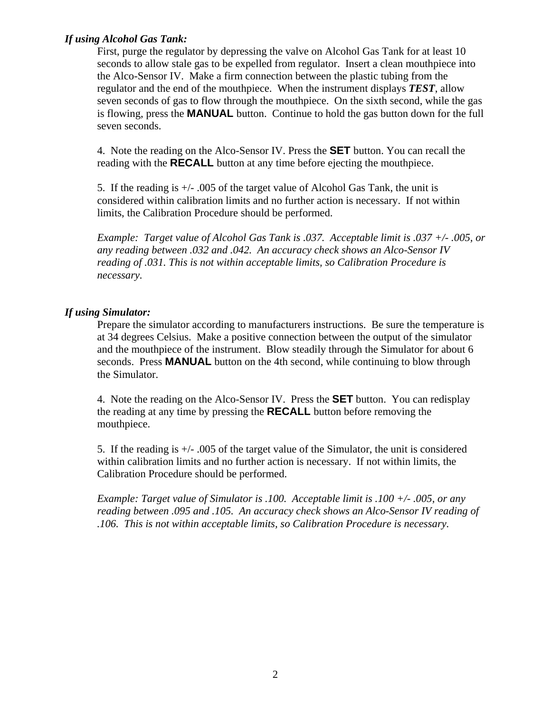## *If using Alcohol Gas Tank:*

First, purge the regulator by depressing the valve on Alcohol Gas Tank for at least 10 seconds to allow stale gas to be expelled from regulator. Insert a clean mouthpiece into the Alco-Sensor IV. Make a firm connection between the plastic tubing from the regulator and the end of the mouthpiece. When the instrument displays *TEST*, allow seven seconds of gas to flow through the mouthpiece. On the sixth second, while the gas is flowing, press the **MANUAL** button. Continue to hold the gas button down for the full seven seconds.

4. Note the reading on the Alco-Sensor IV. Press the **SET** button. You can recall the reading with the **RECALL** button at any time before ejecting the mouthpiece.

5. If the reading is +/- .005 of the target value of Alcohol Gas Tank, the unit is considered within calibration limits and no further action is necessary. If not within limits, the Calibration Procedure should be performed.

*Example: Target value of Alcohol Gas Tank is .037. Acceptable limit is .037 +/- .005, or any reading between .032 and .042. An accuracy check shows an Alco-Sensor IV reading of .031. This is not within acceptable limits, so Calibration Procedure is necessary.* 

# *If using Simulator:*

Prepare the simulator according to manufacturers instructions. Be sure the temperature is at 34 degrees Celsius. Make a positive connection between the output of the simulator and the mouthpiece of the instrument. Blow steadily through the Simulator for about 6 seconds. Press **MANUAL** button on the 4th second, while continuing to blow through the Simulator.

4. Note the reading on the Alco-Sensor IV. Press the **SET** button. You can redisplay the reading at any time by pressing the **RECALL** button before removing the mouthpiece.

5. If the reading is  $+/-$  .005 of the target value of the Simulator, the unit is considered within calibration limits and no further action is necessary. If not within limits, the Calibration Procedure should be performed.

*Example: Target value of Simulator is .100. Acceptable limit is .100 +/- .005, or any reading between .095 and .105. An accuracy check shows an Alco-Sensor IV reading of .106. This is not within acceptable limits, so Calibration Procedure is necessary.*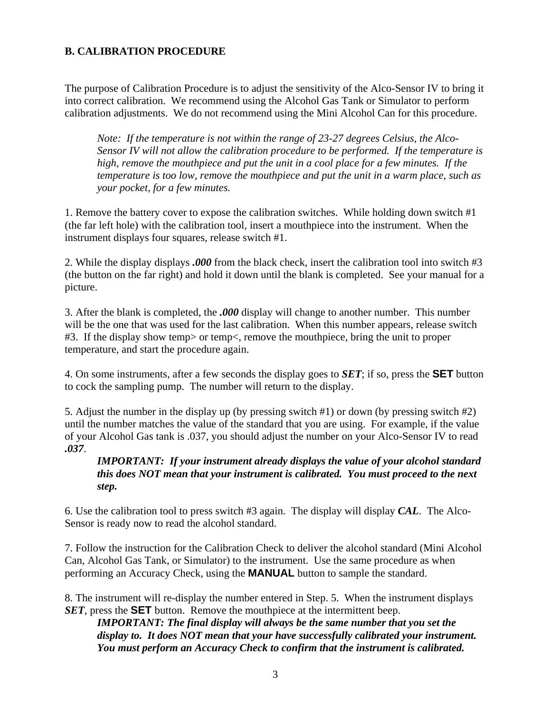## **B. CALIBRATION PROCEDURE**

The purpose of Calibration Procedure is to adjust the sensitivity of the Alco-Sensor IV to bring it into correct calibration. We recommend using the Alcohol Gas Tank or Simulator to perform calibration adjustments. We do not recommend using the Mini Alcohol Can for this procedure.

*Note: If the temperature is not within the range of 23-27 degrees Celsius, the Alco-Sensor IV will not allow the calibration procedure to be performed. If the temperature is high, remove the mouthpiece and put the unit in a cool place for a few minutes. If the temperature is too low, remove the mouthpiece and put the unit in a warm place, such as your pocket, for a few minutes.* 

1. Remove the battery cover to expose the calibration switches. While holding down switch #1 (the far left hole) with the calibration tool, insert a mouthpiece into the instrument. When the instrument displays four squares, release switch #1.

2. While the display displays *.000* from the black check, insert the calibration tool into switch #3 (the button on the far right) and hold it down until the blank is completed. See your manual for a picture.

3. After the blank is completed, the *.000* display will change to another number. This number will be the one that was used for the last calibration. When this number appears, release switch #3. If the display show temp> or temp<, remove the mouthpiece, bring the unit to proper temperature, and start the procedure again.

4. On some instruments, after a few seconds the display goes to *SET*; if so, press the **SET** button to cock the sampling pump. The number will return to the display.

5. Adjust the number in the display up (by pressing switch #1) or down (by pressing switch #2) until the number matches the value of the standard that you are using. For example, if the value of your Alcohol Gas tank is .037, you should adjust the number on your Alco-Sensor IV to read *.037*.

*IMPORTANT: If your instrument already displays the value of your alcohol standard this does NOT mean that your instrument is calibrated. You must proceed to the next step.* 

6. Use the calibration tool to press switch #3 again. The display will display *CAL*. The Alco-Sensor is ready now to read the alcohol standard.

7. Follow the instruction for the Calibration Check to deliver the alcohol standard (Mini Alcohol Can, Alcohol Gas Tank, or Simulator) to the instrument. Use the same procedure as when performing an Accuracy Check, using the **MANUAL** button to sample the standard.

8. The instrument will re-display the number entered in Step. 5. When the instrument displays *SET*, press the **SET** button. Remove the mouthpiece at the intermittent beep.

*IMPORTANT: The final display will always be the same number that you set the display to. It does NOT mean that your have successfully calibrated your instrument. You must perform an Accuracy Check to confirm that the instrument is calibrated.*